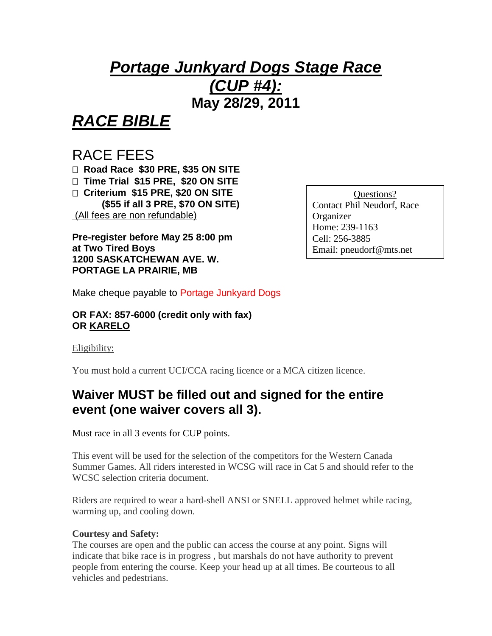# *Portage Junkyard Dogs Stage Race (CUP #4):*  **May 28/29, 2011**

*RACE BIBLE*

## RACE FEES

 **Road Race \$30 PRE, \$35 ON SITE Time Trial \$15 PRE, \$20 ON SITE Criterium \$15 PRE, \$20 ON SITE (\$55 if all 3 PRE, \$70 ON SITE)** (All fees are non refundable)

**Pre-register before May 25 8:00 pm at Two Tired Boys 1200 SASKATCHEWAN AVE. W. PORTAGE LA PRAIRIE, MB**

Questions? Contact Phil Neudorf, Race Organizer Home: 239-1163 Cell: 256-3885 Email: pneudorf@mts.net

Make cheque payable to Portage Junkyard Dogs

#### **OR FAX: 857-6000 (credit only with fax) OR KARELO**

Eligibility:

You must hold a current UCI/CCA racing licence or a MCA citizen licence.

## **Waiver MUST be filled out and signed for the entire event (one waiver covers all 3).**

Must race in all 3 events for CUP points.

This event will be used for the selection of the competitors for the Western Canada Summer Games. All riders interested in WCSG will race in Cat 5 and should refer to the WCSC selection criteria document.

Riders are required to wear a hard-shell ANSI or SNELL approved helmet while racing, warming up, and cooling down.

#### **Courtesy and Safety:**

The courses are open and the public can access the course at any point. Signs will indicate that bike race is in progress , but marshals do not have authority to prevent people from entering the course. Keep your head up at all times. Be courteous to all vehicles and pedestrians.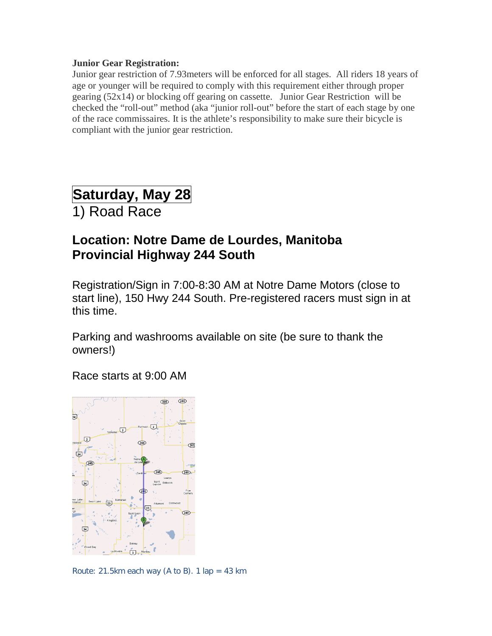#### **Junior Gear Registration:**

Junior gear restriction of 7.93meters will be enforced for all stages. All riders 18 years of age or younger will be required to comply with this requirement either through proper gearing (52x14) or blocking off gearing on cassette. Junior Gear Restriction will be checked the "roll-out" method (aka "junior roll-out" before the start of each stage by one of the race commissaires. It is the athlete's responsibility to make sure their bicycle is compliant with the junior gear restriction.

# **Saturday, May 28**

1) Road Race

## **Location: Notre Dame de Lourdes, Manitoba Provincial Highway 244 South**

Registration/Sign in 7:00-8:30 AM at Notre Dame Motors (close to start line), 150 Hwy 244 South. Pre-registered racers must sign in at this time.

Parking and washrooms available on site (be sure to thank the owners!)

Race starts at 9:00 AM



Route: 21.5km each way (A to B). 1 lap = 43 km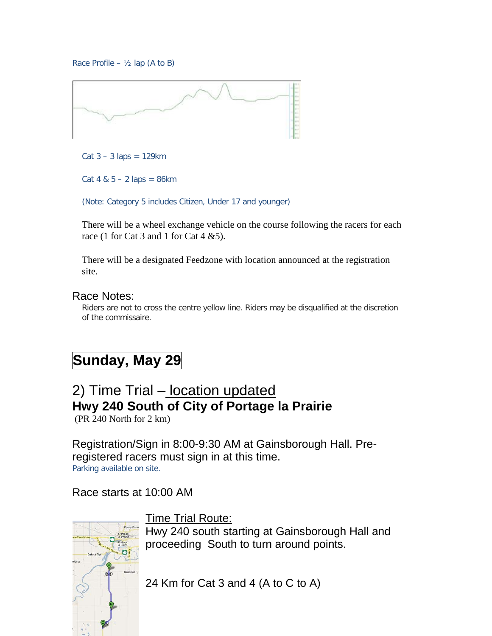Race Profile –  $\frac{1}{2}$  lap (A to B)



Cat  $3 - 3$  laps = 129 km

 $Cat 4 & 5 - 2$  laps = 86km

(Note: Category 5 includes Citizen, Under 17 and younger)

There will be a wheel exchange vehicle on the course following the racers for each race (1 for Cat 3 and 1 for Cat 4  $&5$ ).

There will be a designated Feedzone with location announced at the registration site.

#### Race Notes:

Riders are not to cross the centre yellow line. Riders may be disqualified at the discretion of the commissaire.

# **Sunday, May 29**

## 2) Time Trial - location updated **Hwy 240 South of City of Portage la Prairie**

(PR 240 North for 2 km)

Registration/Sign in 8:00-9:30 AM at Gainsborough Hall. Preregistered racers must sign in at this time. Parking available on site.

#### Race starts at 10:00 AM



Time Trial Route:

Hwy 240 south starting at Gainsborough Hall and proceeding South to turn around points.

24 Km for Cat 3 and 4 (A to C to A)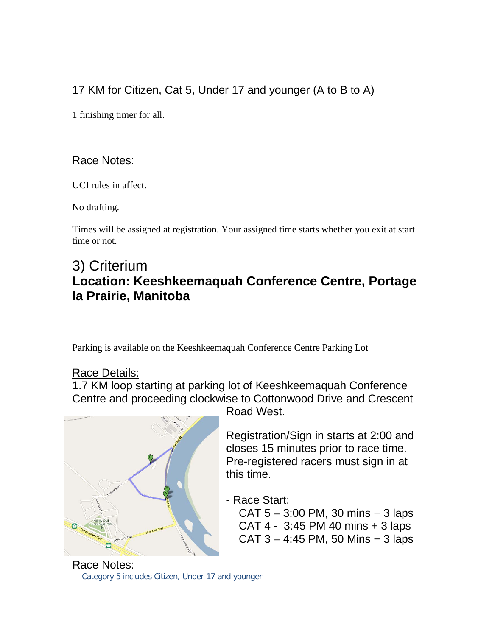### 17 KM for Citizen, Cat 5, Under 17 and younger (A to B to A)

1 finishing timer for all.

#### Race Notes:

UCI rules in affect.

No drafting.

Times will be assigned at registration. Your assigned time starts whether you exit at start time or not.

## 3) Criterium **Location: Keeshkeemaquah Conference Centre, Portage la Prairie, Manitoba**

Parking is available on the Keeshkeemaquah Conference Centre Parking Lot

#### Race Details:

1.7 KM loop starting at parking lot of Keeshkeemaquah Conference Centre and proceeding clockwise to Cottonwood Drive and Crescent



Road West.

Registration/Sign in starts at 2:00 and closes 15 minutes prior to race time. Pre-registered racers must sign in at this time.

- Race Start:
	- CAT  $5 3:00$  PM, 30 mins  $+ 3$  laps CAT 4 - 3:45 PM 40 mins + 3 laps  $CAT 3 - 4:45 PM, 50 Mins + 3 laps$

Race Notes: Category 5 includes Citizen, Under 17 and younger